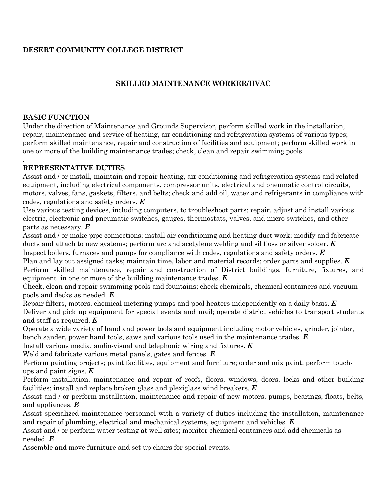# **DESERT COMMUNITY COLLEGE DISTRICT**

# **SKILLED MAINTENANCE WORKER/HVAC**

#### **BASIC FUNCTION**

Under the direction of Maintenance and Grounds Supervisor, perform skilled work in the installation, repair, maintenance and service of heating, air conditioning and refrigeration systems of various types; perform skilled maintenance, repair and construction of facilities and equipment; perform skilled work in one or more of the building maintenance trades; check, clean and repair swimming pools.

#### . **REPRESENTATIVE DUTIES**

Assist and / or install, maintain and repair heating, air conditioning and refrigeration systems and related equipment, including electrical components, compressor units, electrical and pneumatic control circuits, motors, valves, fans, gaskets, filters, and belts; check and add oil, water and refrigerants in compliance with codes, regulations and safety orders. *E*

Use various testing devices, including computers, to troubleshoot parts; repair, adjust and install various electric, electronic and pneumatic switches, gauges, thermostats, valves, and micro switches, and other parts as necessary. *E*

Assist and / or make pipe connections; install air conditioning and heating duct work; modify and fabricate ducts and attach to new systems; perform arc and acetylene welding and sil floss or silver solder. *E* Inspect boilers, furnaces and pumps for compliance with codes, regulations and safety orders. *E*

Plan and lay out assigned tasks; maintain time, labor and material records; order parts and supplies. *E* Perform skilled maintenance, repair and construction of District buildings, furniture, fixtures, and equipment in one or more of the building maintenance trades. *E*

Check, clean and repair swimming pools and fountains; check chemicals, chemical containers and vacuum pools and decks as needed. *E*

Repair filters, motors, chemical metering pumps and pool heaters independently on a daily basis. *E* Deliver and pick up equipment for special events and mail; operate district vehicles to transport students and staff as required. *E*

Operate a wide variety of hand and power tools and equipment including motor vehicles, grinder, jointer, bench sander, power hand tools, saws and various tools used in the maintenance trades. *E*

Install various media, audio-visual and telephonic wiring and fixtures. *E*

Weld and fabricate various metal panels, gates and fences. *E*

Perform painting projects; paint facilities, equipment and furniture; order and mix paint; perform touchups and paint signs. *E*

Perform installation, maintenance and repair of roofs, floors, windows, doors, locks and other building facilities; install and replace broken glass and plexiglass wind breakers. *E*

Assist and / or perform installation, maintenance and repair of new motors, pumps, bearings, floats, belts, and appliances. *E*

Assist specialized maintenance personnel with a variety of duties including the installation, maintenance and repair of plumbing, electrical and mechanical systems, equipment and vehicles. *E*

Assist and / or perform water testing at well sites; monitor chemical containers and add chemicals as needed. *E*

Assemble and move furniture and set up chairs for special events.